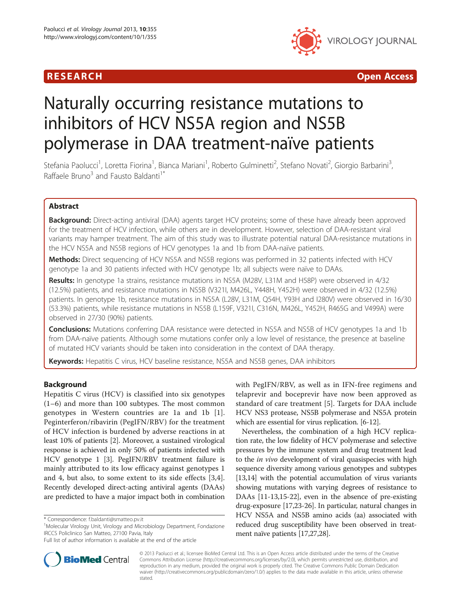## **RESEARCH CHINESE ARCH CHINESE ARCH CHINESE ARCH**



# Naturally occurring resistance mutations to inhibitors of HCV NS5A region and NS5B polymerase in DAA treatment-naïve patients

Stefania Paolucci<sup>1</sup>, Loretta Fiorina<sup>1</sup>, Bianca Mariani<sup>1</sup>, Roberto Gulminetti<sup>2</sup>, Stefano Novati<sup>2</sup>, Giorgio Barbarini<sup>3</sup> , Raffaele Bruno<sup>3</sup> and Fausto Baldanti<sup>1\*</sup>

## Abstract

Background: Direct-acting antiviral (DAA) agents target HCV proteins; some of these have already been approved for the treatment of HCV infection, while others are in development. However, selection of DAA-resistant viral variants may hamper treatment. The aim of this study was to illustrate potential natural DAA-resistance mutations in the HCV NS5A and NS5B regions of HCV genotypes 1a and 1b from DAA-naïve patients.

Methods: Direct sequencing of HCV NS5A and NS5B regions was performed in 32 patients infected with HCV genotype 1a and 30 patients infected with HCV genotype 1b; all subjects were naïve to DAAs.

Results: In genotype 1a strains, resistance mutations in NS5A (M28V, L31M and H58P) were observed in 4/32 (12.5%) patients, and resistance mutations in NS5B (V321I, M426L, Y448H, Y452H) were observed in 4/32 (12.5%) patients. In genotype 1b, resistance mutations in NS5A (L28V, L31M, Q54H, Y93H and I280V) were observed in 16/30 (53.3%) patients, while resistance mutations in NS5B (L159F, V321I, C316N, M426L, Y452H, R465G and V499A) were observed in 27/30 (90%) patients.

**Conclusions:** Mutations conferring DAA resistance were detected in NS5A and NS5B of HCV genotypes 1a and 1b from DAA-naïve patients. Although some mutations confer only a low level of resistance, the presence at baseline of mutated HCV variants should be taken into consideration in the context of DAA therapy.

Keywords: Hepatitis C virus, HCV baseline resistance, NS5A and NS5B genes, DAA inhibitors

## Background

Hepatitis C virus (HCV) is classified into six genotypes (1–6) and more than 100 subtypes. The most common genotypes in Western countries are 1a and 1b [\[1](#page-5-0)]. Peginterferon/ribavirin (PegIFN/RBV) for the treatment of HCV infection is burdened by adverse reactions in at least 10% of patients [\[2](#page-5-0)]. Moreover, a sustained virological response is achieved in only 50% of patients infected with HCV genotype 1 [\[3\]](#page-5-0). PegIFN/RBV treatment failure is mainly attributed to its low efficacy against genotypes 1 and 4, but also, to some extent to its side effects [[3,4](#page-5-0)]. Recently developed direct-acting antiviral agents (DAAs) are predicted to have a major impact both in combination



Nevertheless, the combination of a high HCV replication rate, the low fidelity of HCV polymerase and selective pressures by the immune system and drug treatment lead to the *in vivo* development of viral quasispecies with high sequence diversity among various genotypes and subtypes [[13,14](#page-5-0)] with the potential accumulation of virus variants showing mutations with varying degrees of resistance to DAAs [\[11-13,15-22\]](#page-5-0), even in the absence of pre-existing drug-exposure [[17,23](#page-5-0)[-26\]](#page-6-0). In particular, natural changes in HCV NS5A and NS5B amino acids (aa) associated with reduced drug susceptibility have been observed in treatment naïve patients [[17](#page-5-0)[,27,28\]](#page-6-0).



© 2013 Paolucci et al.; licensee BioMed Central Ltd. This is an Open Access article distributed under the terms of the Creative Commons Attribution License [\(http://creativecommons.org/licenses/by/2.0\)](http://creativecommons.org/licenses/by/2.0), which permits unrestricted use, distribution, and reproduction in any medium, provided the original work is properly cited. The Creative Commons Public Domain Dedication waiver [\(http://creativecommons.org/publicdomain/zero/1.0/\)](http://creativecommons.org/publicdomain/zero/1.0/) applies to the data made available in this article, unless otherwise stated.

<sup>\*</sup> Correspondence: [f.baldanti@smatteo.pv.it](mailto:f.baldanti@smatteo.pv.it) <sup>1</sup>

<sup>&</sup>lt;sup>1</sup>Molecular Virology Unit, Virology and Microbiology Department, Fondazione IRCCS Policlinico San Matteo, 27100 Pavia, Italy

Full list of author information is available at the end of the article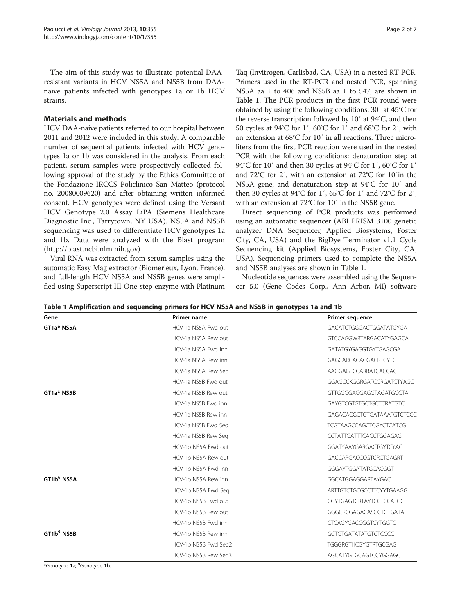The aim of this study was to illustrate potential DAAresistant variants in HCV NS5A and NS5B from DAAnaïve patients infected with genotypes 1a or 1b HCV strains.

### Materials and methods

HCV DAA-naive patients referred to our hospital between 2011 and 2012 were included in this study. A comparable number of sequential patients infected with HCV genotypes 1a or 1b was considered in the analysis. From each patient, serum samples were prospectively collected following approval of the study by the Ethics Committee of the Fondazione IRCCS Policlinico San Matteo (protocol no. 20080009620) and after obtaining written informed consent. HCV genotypes were defined using the Versant HCV Genotype 2.0 Assay LiPA (Siemens Healthcare Diagnostic Inc., Tarrytown, NY USA). NS5A and NS5B sequencing was used to differentiate HCV genotypes 1a and 1b. Data were analyzed with the Blast program (<http://blast.ncbi.nlm.nih.gov>).

Viral RNA was extracted from serum samples using the automatic Easy Mag extractor (Biomerieux, Lyon, France), and full-length HCV NS5A and NS5B genes were amplified using Superscript III One-step enzyme with Platinum

Taq (Invitrogen, Carlisbad, CA, USA) in a nested RT-PCR. Primers used in the RT-PCR and nested PCR, spanning NS5A aa 1 to 406 and NS5B aa 1 to 547, are shown in Table 1. The PCR products in the first PCR round were obtained by using the following conditions: 30′ at 45°C for the reverse transcription followed by 10′ at 94°C, and then 50 cycles at 94°C for 1′, 60°C for 1′ and 68°C for 2′, with an extension at 68°C for 10′ in all reactions. Three microliters from the first PCR reaction were used in the nested PCR with the following conditions: denaturation step at 94°C for 10′ and then 30 cycles at 94°C for 1′, 60°C for 1′ and 72°C for 2′, with an extension at 72°C for 10′in the NS5A gene; and denaturation step at 94°C for 10′ and then 30 cycles at 94°C for 1′, 65°C for 1′ and 72°C for 2′, with an extension at 72°C for 10′ in the NS5B gene.

Direct sequencing of PCR products was performed using an automatic sequencer (ABI PRISM 3100 genetic analyzer DNA Sequencer, Applied Biosystems, Foster City, CA, USA) and the BigDye Terminator v1.1 Cycle Sequencing kit (Applied Biosystems, Foster City, CA, USA). Sequencing primers used to complete the NS5A and NS5B analyses are shown in Table 1.

Nucleotide sequences were assembled using the Sequencer 5.0 (Gene Codes Corp., Ann Arbor, MI) software

Table 1 Amplification and sequencing primers for HCV NS5A and NS5B in genotypes 1a and 1b

| Gene                   | Primer name          | <b>Primer sequence</b>         |
|------------------------|----------------------|--------------------------------|
| GT1a* NS5A             | HCV-1a NS5A Fwd out  | GACATCTGGGACTGGATATGYGA        |
|                        | HCV-1a NS5A Rew out  | GTCCAGGWRTARGACATYGAGCA        |
|                        | HCV-1a NS5A Fwd inn  | GATATGYGAGGTGYTGAGCGA          |
|                        | HCV-1a NS5A Rew inn  | GAGCARCACACGACRTCYTC           |
|                        | HCV-1a NS5A Rew Seg  | AAGGAGTCCARRATCACCAC           |
|                        | HCV-1a NS5B Fwd out  | GGAGCCKGGRGATCCRGATCTYAGC      |
| GT1a* NS5B             | HCV-1a NS5B Rew out  | GTTGGGGAGGAGGTAGATGCCTA        |
|                        | HCV-1a NS5B Ewd inn  | <b>GAYGTCGTGTGCTGCTCRATGTC</b> |
|                        | HCV-1a NS5B Rew inn  | GAGACACGCTGTGATAAATGTCTCCC     |
|                        | HCV-1a NS5B Fwd Seg  | TCGTAAGCCAGCTCGYCTCATCG        |
|                        | HCV-1a NS5B Rew Seg  | <b>CCTATTGATTTCACCTGGAGAG</b>  |
|                        | HCV-1b NS5A Fwd out  | GGATYAAYGARGACTGYTCYAC         |
|                        | HCV-1b NS5A Rew out  | GACCARGACCCGTCRCTGAGRT         |
|                        | HCV-1b NS5A Fwd inn  | GGGAYTGGATATGCACGGT            |
| GT1b <sup>§</sup> NS5A | HCV-1b NS5A Rew inn  | GGCATGGAGGARTAYGAC             |
|                        | HCV-1b NS5A Fwd Sea  | ARTTGTCTGCGCCTTCYYTGAAGG       |
|                        | HCV-1b NS5B Fwd out  | CGYTGAGTCRTAYTCCTCCATGC        |
|                        | HCV-1b NS5B Rew out  | GGGCRCGAGACASGCTGTGATA         |
|                        | HCV-1b NS5B Fwd inn  | <b>CTCAGYGACGGGTCYTGGTC</b>    |
| GT1b <sup>§</sup> NS5B | HCV-1b NS5B Rew inn  | <b>GCTGTGATATATGTCTCCCC</b>    |
|                        | HCV-1b NS5B Fwd Seq2 | <b>TGGGRGTHCGYGTRTGCGAG</b>    |
|                        | HCV-1b NS5B Rew Seg3 | AGCATYGTGCAGTCCYGGAGC          |

\*Genotype 1a; § Genotype 1b.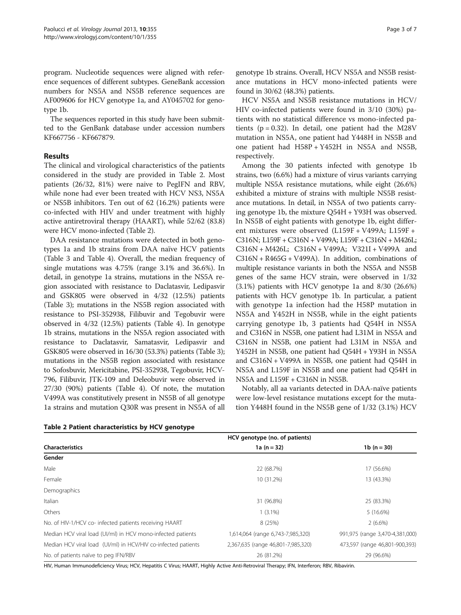program. Nucleotide sequences were aligned with reference sequences of different subtypes. GeneBank accession numbers for NS5A and NS5B reference sequences are AF009606 for HCV genotype 1a, and AY045702 for genotype 1b.

The sequences reported in this study have been submitted to the GenBank database under accession numbers KF667756 - KF667879.

## Results

The clinical and virological characteristics of the patients considered in the study are provided in Table 2. Most patients (26/32, 81%) were naive to PegIFN and RBV, while none had ever been treated with HCV NS3, NS5A or NS5B inhibitors. Ten out of 62 (16.2%) patients were co-infected with HIV and under treatment with highly active antiretroviral therapy (HAART), while 52/62 (83.8) were HCV mono-infected (Table 2).

DAA resistance mutations were detected in both genotypes 1a and 1b strains from DAA naïve HCV patients (Table [3](#page-3-0) and Table [4\)](#page-4-0). Overall, the median frequency of single mutations was 4.75% (range 3.1% and 36.6%). In detail, in genotype 1a strains, mutations in the NS5A region associated with resistance to Daclatasvir, Ledipasvir and GSK805 were observed in 4/32 (12.5%) patients (Table [3](#page-3-0)); mutations in the NS5B region associated with resistance to PSI-352938, Filibuvir and Tegobuvir were observed in 4/32 (12.5%) patients (Table [4\)](#page-4-0). In genotype 1b strains, mutations in the NS5A region associated with resistance to Daclatasvir, Samatasvir, Ledipasvir and GSK805 were observed in 16/30 (53.3%) patients (Table [3](#page-3-0)); mutations in the NS5B region associated with resistance to Sofosbuvir, Mericitabine, PSI-352938, Tegobuvir, HCV-796, Filibuvir, JTK-109 and Deleobuvir were observed in 27/30 (90%) patients (Table [4\)](#page-4-0). Of note, the mutation V499A was constitutively present in NS5B of all genotype 1a strains and mutation Q30R was present in NS5A of all

genotype 1b strains. Overall, HCV NS5A and NS5B resistance mutations in HCV mono-infected patients were found in 30/62 (48.3%) patients.

HCV NS5A and NS5B resistance mutations in HCV/ HIV co-infected patients were found in 3/10 (30%) patients with no statistical difference vs mono-infected patients ( $p = 0.32$ ). In detail, one patient had the M28V mutation in NS5A, one patient had Y448H in NS5B and one patient had H58P + Y452H in NS5A and NS5B, respectively.

Among the 30 patients infected with genotype 1b strains, two (6.6%) had a mixture of virus variants carrying multiple NS5A resistance mutations, while eight (26.6%) exhibited a mixture of strains with multiple NS5B resistance mutations. In detail, in NS5A of two patients carrying genotype 1b, the mixture Q54H + Y93H was observed. In NS5B of eight patients with genotype 1b, eight different mixtures were observed (L159F + V499A; L159F + C316N; L159F + C316N + V499A; L159F + C316N + M426L; C316N + M426L; C316N + V499A; V321I + V499A and  $C316N + R465G + V499A$ . In addition, combinations of multiple resistance variants in both the NS5A and NS5B genes of the same HCV strain, were observed in 1/32 (3.1%) patients with HCV genotype 1a and 8/30 (26.6%) patients with HCV genotype 1b. In particular, a patient with genotype 1a infection had the H58P mutation in NS5A and Y452H in NS5B, while in the eight patients carrying genotype 1b, 3 patients had Q54H in NS5A and C316N in NS5B, one patient had L31M in NS5A and C316N in NS5B, one patient had L31M in NS5A and Y452H in NS5B, one patient had Q54H + Y93H in NS5A and C316N + V499A in NS5B, one patient had Q54H in NS5A and L159F in NS5B and one patient had Q54H in NS5A and L159F + C316N in NS5B.

Notably, all aa variants detected in DAA-naïve patients were low-level resistance mutations except for the mutation Y448H found in the NS5B gene of 1/32 (3.1%) HCV

|                                                               | HCV genotype (no. of patients)     |                                 |  |
|---------------------------------------------------------------|------------------------------------|---------------------------------|--|
| <b>Characteristics</b>                                        | 1a $(n = 32)$                      | 1 $b(n=30)$                     |  |
| Gender                                                        |                                    |                                 |  |
| Male                                                          | 22 (68.7%)                         | 17 (56.6%)                      |  |
| Female                                                        | 10 (31.2%)                         | 13 (43.3%)                      |  |
| Demographics                                                  |                                    |                                 |  |
| Italian                                                       | 31 (96.8%)                         | 25 (83.3%)                      |  |
| Others                                                        | $1(3.1\%)$                         | 5(16.6%)                        |  |
| No. of HIV-1/HCV co- infected patients receiving HAART        | 8 (25%)                            | 2(6.6%)                         |  |
| Median HCV viral load (UI/ml) in HCV mono-infected patients   | 1,614,064 (range 6,743-7,985,320)  | 991,975 (range 3,470-4,381,000) |  |
| Median HCV viral load (UI/ml) in HCV/HIV co-infected patients | 2,367,635 (range 46,801-7,985,320) | 473,597 (range 46,801-900,393)  |  |
| No. of patients naïve to peg IFN/RBV                          | 26 (81.2%)                         | 29 (96.6%)                      |  |

Table 2 Patient characteristics by HCV genotype

HIV, Human Immunodeficiency Virus; HCV, Hepatitis C Virus; HAART, Highly Active Anti-Retroviral Therapy; IFN, Interferon; RBV, Ribavirin.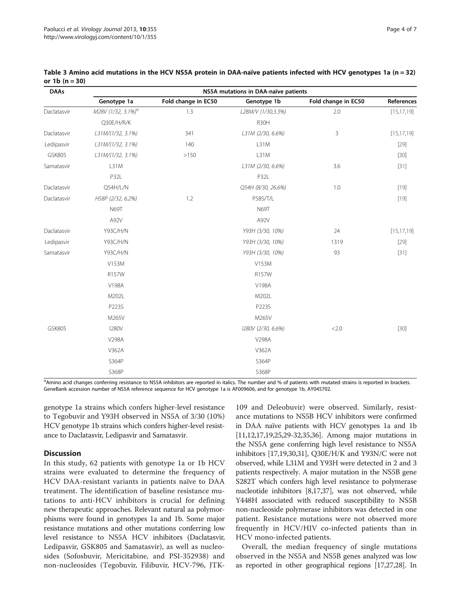| <b>DAAs</b>   | NS5A mutations in DAA-naïve patients |                     |                    |                     |              |  |
|---------------|--------------------------------------|---------------------|--------------------|---------------------|--------------|--|
|               | Genotype 1a                          | Fold change in EC50 | Genotype 1b        | Fold change in EC50 | References   |  |
| Daclatasvir   | M28V (1/32, 3.1%) <sup>a</sup>       | 1.3                 | L28M/V (1/30,3.3%) | 2.0                 | [15, 17, 19] |  |
|               | Q30E/H/R/K                           |                     | R30H               |                     |              |  |
| Daclatasvir   | L31M/(1/32, 3.1%)                    | 341                 | L31M (2/30, 6.6%)  | 3                   | [15, 17, 19] |  |
| Ledipasvir    | L31M/(1/32, 3.1%)                    | 140                 | L31M               |                     | $[29]$       |  |
| <b>GSK805</b> | L31M/(1/32, 3.1%)                    | >150                | L31M               |                     | $[30]$       |  |
| Samatasvir    | L31M                                 |                     | L31M (2/30, 6.6%)  | 3.6                 | $[31]$       |  |
|               | P32L                                 |                     | P32L               |                     |              |  |
| Daclatasvir   | Q54H/L/N                             |                     | Q54H (8/30, 26.6%) | 1.0                 | $[19]$       |  |
| Daclatasvir   | H58P (2/32, 6.2%)                    | 1.2                 | P58S/T/L           |                     | $[19]$       |  |
|               | N69T                                 |                     | <b>N69T</b>        |                     |              |  |
|               | A92V                                 |                     | A92V               |                     |              |  |
| Daclatasvir   | <b>Y93C/H/N</b>                      |                     | Y93H (3/30, 10%)   | 24                  | [15, 17, 19] |  |
| Ledipasvir    | <b>Y93C/H/N</b>                      |                     | Y93H (3/30, 10%)   | 1319                | $[29]$       |  |
| Samatasvir    | <b>Y93C/H/N</b>                      |                     | Y93H (3/30, 10%)   | 93                  | $[31]$       |  |
|               | V153M                                |                     | V153M              |                     |              |  |
|               | R157W                                |                     | R157W              |                     |              |  |
|               | V198A                                |                     | V198A              |                     |              |  |
|               | M202L                                |                     | M202L              |                     |              |  |
|               | P223S                                |                     | P223S              |                     |              |  |
|               | M265V                                |                     | M265V              |                     |              |  |
| <b>GSK805</b> | <b>I280V</b>                         |                     | I280V (2/30, 6.6%) | 2.0                 | $[30]$       |  |
|               | V298A                                |                     | V298A              |                     |              |  |
|               | V362A                                |                     | V362A              |                     |              |  |
|               | S364P                                |                     | S364P              |                     |              |  |
|               | S368P                                |                     | S368P              |                     |              |  |

<span id="page-3-0"></span>Table 3 Amino acid mutations in the HCV NS5A protein in DAA-naïve patients infected with HCV genotypes 1a (n = 32) or 1b (n = 30)

<sup>α</sup>Amino acid changes conferring resistance to NS5A inhibitors are reported in italics. The number and % of patients with mutated strains is reported in brackets. GeneBank accession number of NS5A reference sequence for HCV genotype 1a is AF009606, and for genotype 1b, AY045702.

genotype 1a strains which confers higher-level resistance to Tegobuvir and Y93H observed in NS5A of 3/30 (10%) HCV genotype 1b strains which confers higher-level resistance to Daclatasvir, Ledipasvir and Samatasvir.

## **Discussion**

In this study, 62 patients with genotype 1a or 1b HCV strains were evaluated to determine the frequency of HCV DAA-resistant variants in patients naïve to DAA treatment. The identification of baseline resistance mutations to anti-HCV inhibitors is crucial for defining new therapeutic approaches. Relevant natural aa polymorphisms were found in genotypes 1a and 1b. Some major resistance mutations and other mutations conferring low level resistance to NS5A HCV inhibitors (Daclatasvir, Ledipasvir, GSK805 and Samatasvir), as well as nucleosides (Sofosbuvir, Mericitabine, and PSI-352938) and non-nucleosides (Tegobuvir, Filibuvir, HCV-796, JTK-

109 and Deleobuvir) were observed. Similarly, resistance mutations to NS5B HCV inhibitors were confirmed in DAA naïve patients with HCV genotypes 1a and 1b [[11,12,17,19](#page-5-0)[,25,29-32,35](#page-6-0),[36](#page-6-0)]. Among major mutations in the NS5A gene conferring high level resistance to NS5A inhibitors [\[17,19,](#page-5-0)[30,31\]](#page-6-0), Q30E/H/K and Y93N/C were not observed, while L31M and Y93H were detected in 2 and 3 patients respectively. A major mutation in the NS5B gene S282T which confers high level resistance to polymerase nucleotide inhibitors [[8,17](#page-5-0)[,37\]](#page-6-0), was not observed, while Y448H associated with reduced susceptibility to NS5B non-nucleoside polymerase inhibitors was detected in one patient. Resistance mutations were not observed more frequently in HCV/HIV co-infected patients than in HCV mono-infected patients.

Overall, the median frequency of single mutations observed in the NS5A and NS5B genes analyzed was low as reported in other geographical regions [\[17,](#page-5-0)[27,28](#page-6-0)]. In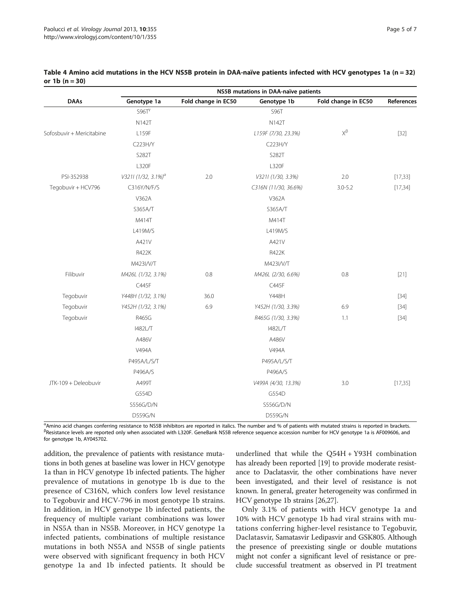|                           | NS5B mutations in DAA-naïve patients |                     |                      |                     |            |
|---------------------------|--------------------------------------|---------------------|----------------------|---------------------|------------|
| <b>DAAs</b>               | Genotype 1a                          | Fold change in EC50 | Genotype 1b          | Fold change in EC50 | References |
|                           | S96T <sup>y</sup>                    |                     | S96T                 |                     |            |
|                           | <b>N142T</b>                         |                     | <b>N142T</b>         |                     |            |
| Sofosbuvir + Mericitabine | L159F                                |                     | L159F (7/30, 23.3%)  | $X^\beta$           | $[32]$     |
|                           | C223H/Y                              |                     | C223H/Y              |                     |            |
|                           | S282T                                |                     | S282T                |                     |            |
|                           | L320F                                |                     | L320F                |                     |            |
| PSI-352938                | V3211 (1/32, 3.1%) <sup>a</sup>      | $2.0\,$             | V3211 (1/30, 3.3%)   | 2.0                 | [17, 33]   |
| Tegobuvir + HCV796        | C316Y/N/F/S                          |                     | C316N (11/30, 36.6%) | $3.0 - 5.2$         | [17, 34]   |
|                           | V362A                                |                     | V362A                |                     |            |
|                           | S365A/T                              |                     | S365A/T              |                     |            |
|                           | M414T                                |                     | M414T                |                     |            |
|                           | L419M/S                              |                     | L419M/S              |                     |            |
|                           | A421V                                |                     | A421V                |                     |            |
|                           | <b>R422K</b>                         |                     | R422K                |                     |            |
|                           | M423I/V/T                            |                     | M423I/V/T            |                     |            |
| Filibuvir                 | M426L (1/32, 3.1%)                   | 0.8                 | M426L (2/30, 6.6%)   | 0.8                 | $[21]$     |
|                           | C445F                                |                     | C445F                |                     |            |
| Tegobuvir                 | Y448H (1/32, 3.1%)                   | 36.0                | Y448H                |                     | $[34]$     |
| Tegobuvir                 | Y452H (1/32, 3.1%)                   | 6.9                 | Y452H (1/30, 3.3%)   | 6.9                 | $[34]$     |
| Tegobuvir                 | R465G                                |                     | R465G (1/30, 3.3%)   | 1.1                 | $[34]$     |
|                           | 1482L/T                              |                     | 1482L/T              |                     |            |
|                           | A486V                                |                     | A486V                |                     |            |
|                           | V494A                                |                     | V494A                |                     |            |
|                           | P495A/L/S/T                          |                     | P495A/L/S/T          |                     |            |
|                           | P496A/S                              |                     | P496A/S              |                     |            |
| JTK-109 + Deleobuvir      | A499T                                |                     | V499A (4/30, 13.3%)  | 3.0                 | [17, 35]   |
|                           | G554D                                |                     | G554D                |                     |            |
|                           | S556G/D/N                            |                     | S556G/D/N            |                     |            |
|                           | D559G/N                              |                     | D559G/N              |                     |            |

<span id="page-4-0"></span>

| Table 4 Amino acid mutations in the HCV NS5B protein in DAA-naïve patients infected with HCV genotypes 1a (n = 32) |  |  |
|--------------------------------------------------------------------------------------------------------------------|--|--|
| or 1 $b(n = 30)$                                                                                                   |  |  |

Amino acid changes conferring resistance to NS5B inhibitors are reported in italics. The number and % of patients with mutated strains is reported in brackets. <sup>β</sup> <sup>B</sup>Resistance levels are reported only when associated with L320F. GeneBank NS5B reference sequence accession number for HCV genotype 1a is AF009606, and for genotype 1b, AY045702.

addition, the prevalence of patients with resistance mutations in both genes at baseline was lower in HCV genotype 1a than in HCV genotype 1b infected patients. The higher prevalence of mutations in genotype 1b is due to the presence of C316N, which confers low level resistance to Tegobuvir and HCV-796 in most genotype 1b strains. In addition, in HCV genotype 1b infected patients, the frequency of multiple variant combinations was lower in NS5A than in NS5B. Moreover, in HCV genotype 1a infected patients, combinations of multiple resistance mutations in both NS5A and NS5B of single patients were observed with significant frequency in both HCV genotype 1a and 1b infected patients. It should be

underlined that while the Q54H + Y93H combination has already been reported [\[19\]](#page-5-0) to provide moderate resistance to Daclatasvir, the other combinations have never been investigated, and their level of resistance is not known. In general, greater heterogeneity was confirmed in HCV genotype 1b strains [[26,27\]](#page-6-0).

Only 3.1% of patients with HCV genotype 1a and 10% with HCV genotype 1b had viral strains with mutations conferring higher-level resistance to Tegobuvir, Daclatasvir, Samatasvir Ledipasvir and GSK805. Although the presence of preexisting single or double mutations might not confer a significant level of resistance or preclude successful treatment as observed in PI treatment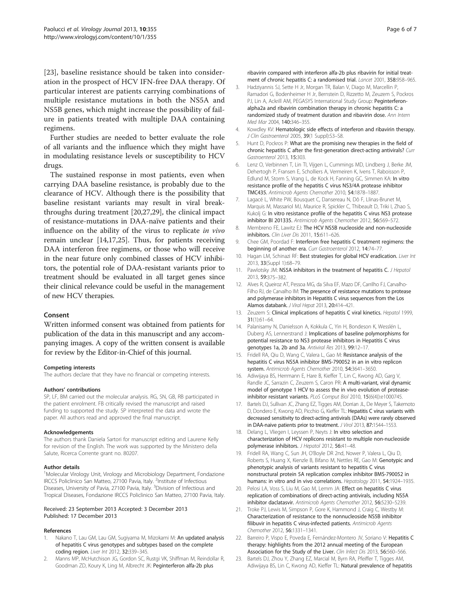<span id="page-5-0"></span>[23], baseline resistance should be taken into consideration in the prospect of HCV IFN-free DAA therapy. Of particular interest are patients carrying combinations of multiple resistance mutations in both the NS5A and NS5B genes, which might increase the possibility of failure in patients treated with multiple DAA containing regimens.

Further studies are needed to better evaluate the role of all variants and the influence which they might have in modulating resistance levels or susceptibility to HCV drugs.

The sustained response in most patients, even when carrying DAA baseline resistance, is probably due to the clearance of HCV. Although there is the possibility that baseline resistant variants may result in viral breakthroughs during treatment [20[,27,29](#page-6-0)], the clinical impact of resistance-mutations in DAA-naïve patients and their influence on the ability of the virus to replicate in vivo remain unclear [14,17[,25](#page-6-0)]. Thus, for patients receiving DAA interferon free regimens, or those who will receive in the near future only combined classes of HCV inhibitors, the potential role of DAA-resistant variants prior to treatment should be evaluated in all target genes since their clinical relevance could be useful in the management of new HCV therapies.

#### Consent

Written informed consent was obtained from patients for publication of the data in this manuscript and any accompanying images. A copy of the written consent is available for review by the Editor-in-Chief of this journal.

#### Competing interests

The authors declare that they have no financial or competing interests.

#### Authors' contributions

SP, LF, BM carried out the molecular analysis. RG, SN, GB, RB participated in the patient enrolment. FB critically revised the manuscript and raised funding to supported the study. SP interpreted the data and wrote the paper. All authors read and approved the final manuscript.

#### Acknowledgements

The authors thank Daniela Sartori for manuscript editing and Laurene Kelly for revision of the English. The work was supported by the Ministero della Salute, Ricerca Corrente grant no. 80207.

#### Author details

<sup>1</sup>Molecular Virology Unit, Virology and Microbiology Department, Fondazione IRCCS Policlinico San Matteo, 27100 Pavia, Italy. <sup>2</sup>Institute of Infectious Diseases, University of Pavia, 27100 Pavia, Italy. <sup>3</sup>Division of Infectious and Tropical Diseases, Fondazione IRCCS Policlinico San Matteo, 27100 Pavia, Italy.

#### Received: 23 September 2013 Accepted: 3 December 2013 Published: 17 December 2013

## References

- 1. Nakano T, Lau GM, Lau GM, Sugiyama M, Mizokami M: An updated analysis of hepatitis C virus genotypes and subtypes based on the complete coding region. Liver Int 2012, 32:339–345.
- 2. Manns MP, McHutchison JG, Gordon SC, Rustgi VK, Shiffman M, Reindollar R, Goodman ZD, Koury K, Ling M, Albrecht JK: Peginterferon alfa-2b plus

ribavirin compared with interferon alfa-2b plus ribavirin for initial treatment of chronic hepatitis C: a randomised trial. Lancet 2001, 358:958-965.

- 3. Hadziyannis SJ, Sette H Jr, Morgan TR, Balan V, Diago M, Marcellin P, Ramadori G, Bodenheimer H Jr, Bernstein D, Rizzetto M, Zeuzem S, Pockros PJ, Lin A, Ackrill AM, PEGASYS International Study Group: Peginterferonalpha2a and ribavirin combination therapy in chronic hepatitis C: a randomized study of treatment duration and ribavirin dose. Ann Intern Med Mar 2004, 140:346–355.
- 4. Kowdley KV: Hematologic side effects of interferon and ribavirin therapy. J Clin Gastroenterol 2005, 39(1 Suppl):S3-S8.
- 5. Hunt D, Pockros P: What are the promising new therapies in the field of chronic hepatitis C after the first-generation direct-acting antivirals? Curr Gastroenterol 2013, 15:303.
- 6. Lenz O, Verbinnen T, Lin TI, Vijgen L, Cummings MD, Lindberg J, Berke JM, Dehertogh P, Fransen E, Scholliers A, Vermeiren K, Ivens T, Raboisson P, Edlund M, Storm S, Vrang L, de Kock H, Fanning GC, Simmen KA: In vitro resistance profile of the hepatitis C virus NS3/4A protease inhibitor TMC435. Antimicrob Agents Chemother 2010, 54:1878–1887.
- 7. Lagacé L, White PW, Bousquet C, Dansereau N, Dô F, Llinas-Brunet M, Marquis M, Massariol MJ, Maurice R, Spickler C, Thibeault D, Triki I, Zhao S, Kukolj G: In vitro resistance profile of the hepatitis C virus NS3 protease inhibitor BI 201335. Antimicrob Agents Chemother 2012, 56:569–572.
- 8. Membreno FE, Lawitz EJ: The HCV NS5B nucleoside and non-nucleoside inhibitors. Clin Liver Dis 2011, 15:611–626.
- Chee GM, Poordad F: Interferon free hepatitis C treatment regimens: the beginning of another era. Curr Gastroenterol 2012, 14:74–77.
- 10. Hagan LM, Schinazi RF: Best strategies for global HCV eradication. Liver Int 2013, 33(Suppl 1):68–79.
- 11. Pawlotsky JM: NS5A inhibitors in the treatment of hepatitis C. J Hepatol 2013, 59:375–382.
- 12. Alves R, Queiroz AT, Pessoa MG, da Silva EF, Mazo DF, Carrilho FJ, Carvalho-Filho RJ, de Carvalho IM: The presence of resistance mutations to protease and polymerase inhibitors in Hepatitis C virus sequences from the Los Alamos databank. J Viral Hepat 2013, 20:414–421.
- 13. Zeuzem S: Clinical implications of hepatitis C viral kinetics. Hepatol 1999, 31(1):61–64.
- 14. Palanisamy N, Danielsson A, Kokkula C, Yin H, Bondeson K, Wesslén L, Duberg AS, Lennerstrand J: Implications of baseline polymorphisms for potential resistance to NS3 protease inhibitors in Hepatitis C virus genotypes 1a, 2b and 3a. Antiviral Res 2013, 99:12-17.
- 15. Fridell RA, Qiu D, Wang C, Valera L, Gao M: Resistance analysis of the hepatitis C virus NS5A inhibitor BMS-790052 in an in vitro replicon system. Antimicrob Agents Chemother 2010, 54:3641–3650.
- 16. Adiwijaya BS, Herrmann E, Hare B, Kieffer T, Lin C, Kwong AD, Garg V, Randle JC, Sarrazin C, Zeuzem S, Caron PR: A multi-variant, viral dynamic model of genotype 1 HCV to assess the in vivo evolution of proteaseinhibitor resistant variants. PLoS Comput Biol 2010, 15(6(4)):e1000745.
- 17. Bartels DJ, Sullivan JC, Zhang EZ, Tigges AM, Dorrian JL, De Meyer S, Takemoto D, Dondero E, Kwong AD, Picchio G, Kieffer TL: Hepatitis C virus variants with decreased sensitivity to direct-acting antivirals (DAAs) were rarely observed in DAA-naive patients prior to treatment. J Virol 2013, 87:1544-1553.
- 18. Delang L, Vliegen I, Leyssen P, Neyts J: In vitro selection and characterization of HCV replicons resistant to multiple non-nucleoside polymerase inhibitors. J Hepatol 2012, 56:41-48.
- 19. Fridell RA, Wang C, Sun JH, O'Boyle DR 2nd, Nower P, Valera L, Qiu D, Roberts S, Huang X, Kienzle B, Bifano M, Nettles RE, Gao M: Genotypic and phenotypic analysis of variants resistant to hepatitis C virus nonstructural protein 5A replication complex inhibitor BMS-790052 in humans: in vitro and in vivo correlations. Hepatology 2011, 54:1924–1935.
- 20. Pelosi LA, Voss S, Liu M, Gao M, Lemm JA: Effect on hepatitis C virus replication of combinations of direct-acting antivirals, including NS5A inhibitor daclatasvir. Antimicrob Agents Chemother 2012, 56:5230–5239.
- 21. Troke PJ, Lewis M, Simpson P, Gore K, Hammond J, Craig C, Westby M: Characterization of resistance to the nonnucleoside NS5B inhibitor filibuvir in hepatitis C virus-infected patients. Antimicrob Agents Chemother 2012, 56:1331–1341.
- 22. Barreiro P, Vispo E, Poveda E, Fernández-Montero JV, Soriano V; Hepatitis C therapy: highlights from the 2012 annual meeting of the European Association for the Study of the Liver. Clin Infect Dis 2013, 56:560–566.
- 23. Bartels DJ, Zhou Y, Zhang EZ, Marcial M, Byrn RA, Pfeiffer T, Tigges AM, Adiwijaya BS, Lin C, Kwong AD, Kieffer TL: Natural prevalence of hepatitis